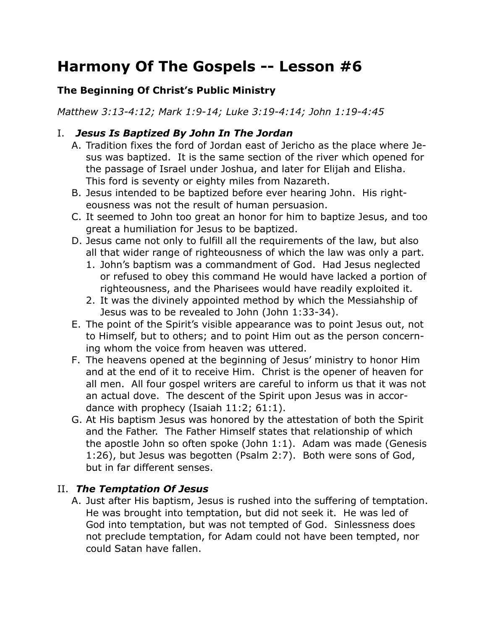# **Harmony Of The Gospels -- Lesson #6**

## **The Beginning Of Christ's Public Ministry**

*Matthew 3:13-4:12; Mark 1:9-14; Luke 3:19-4:14; John 1:19-4:45*

# I. *Jesus Is Baptized By John In The Jordan*

- A. Tradition fixes the ford of Jordan east of Jericho as the place where Jesus was baptized. It is the same section of the river which opened for the passage of Israel under Joshua, and later for Elijah and Elisha. This ford is seventy or eighty miles from Nazareth.
- B. Jesus intended to be baptized before ever hearing John. His righteousness was not the result of human persuasion.
- C. It seemed to John too great an honor for him to baptize Jesus, and too great a humiliation for Jesus to be baptized.
- D. Jesus came not only to fulfill all the requirements of the law, but also all that wider range of righteousness of which the law was only a part.
	- 1. John's baptism was a commandment of God. Had Jesus neglected or refused to obey this command He would have lacked a portion of righteousness, and the Pharisees would have readily exploited it.
	- 2. It was the divinely appointed method by which the Messiahship of Jesus was to be revealed to John (John 1:33-34).
- E. The point of the Spirit's visible appearance was to point Jesus out, not to Himself, but to others; and to point Him out as the person concerning whom the voice from heaven was uttered.
- F. The heavens opened at the beginning of Jesus' ministry to honor Him and at the end of it to receive Him. Christ is the opener of heaven for all men. All four gospel writers are careful to inform us that it was not an actual dove. The descent of the Spirit upon Jesus was in accordance with prophecy (Isaiah 11:2; 61:1).
- G. At His baptism Jesus was honored by the attestation of both the Spirit and the Father. The Father Himself states that relationship of which the apostle John so often spoke (John 1:1). Adam was made (Genesis 1:26), but Jesus was begotten (Psalm 2:7). Both were sons of God, but in far different senses.

## II. *The Temptation Of Jesus*

A. Just after His baptism, Jesus is rushed into the suffering of temptation. He was brought into temptation, but did not seek it. He was led of God into temptation, but was not tempted of God. Sinlessness does not preclude temptation, for Adam could not have been tempted, nor could Satan have fallen.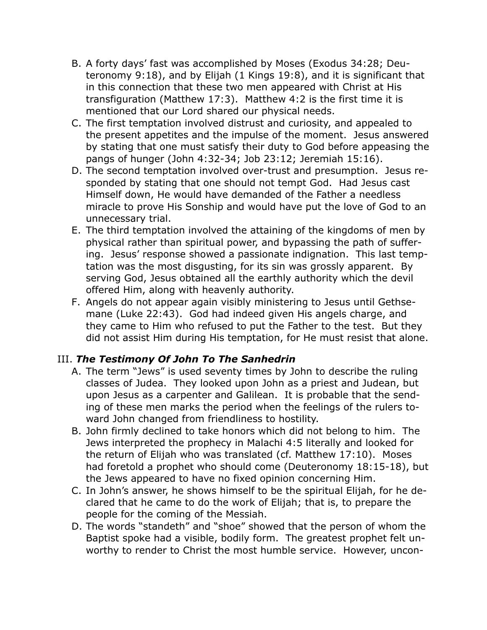- B. A forty days' fast was accomplished by Moses (Exodus 34:28; Deuteronomy 9:18), and by Elijah (1 Kings 19:8), and it is significant that in this connection that these two men appeared with Christ at His transfiguration (Matthew 17:3). Matthew 4:2 is the first time it is mentioned that our Lord shared our physical needs.
- C. The first temptation involved distrust and curiosity, and appealed to the present appetites and the impulse of the moment. Jesus answered by stating that one must satisfy their duty to God before appeasing the pangs of hunger (John 4:32-34; Job 23:12; Jeremiah 15:16).
- D. The second temptation involved over-trust and presumption. Jesus responded by stating that one should not tempt God. Had Jesus cast Himself down, He would have demanded of the Father a needless miracle to prove His Sonship and would have put the love of God to an unnecessary trial.
- E. The third temptation involved the attaining of the kingdoms of men by physical rather than spiritual power, and bypassing the path of suffering. Jesus' response showed a passionate indignation. This last temptation was the most disgusting, for its sin was grossly apparent. By serving God, Jesus obtained all the earthly authority which the devil offered Him, along with heavenly authority.
- F. Angels do not appear again visibly ministering to Jesus until Gethsemane (Luke 22:43). God had indeed given His angels charge, and they came to Him who refused to put the Father to the test. But they did not assist Him during His temptation, for He must resist that alone.

## III. *The Testimony Of John To The Sanhedrin*

- A. The term "Jews" is used seventy times by John to describe the ruling classes of Judea. They looked upon John as a priest and Judean, but upon Jesus as a carpenter and Galilean. It is probable that the sending of these men marks the period when the feelings of the rulers toward John changed from friendliness to hostility.
- B. John firmly declined to take honors which did not belong to him. The Jews interpreted the prophecy in Malachi 4:5 literally and looked for the return of Elijah who was translated (cf. Matthew 17:10). Moses had foretold a prophet who should come (Deuteronomy 18:15-18), but the Jews appeared to have no fixed opinion concerning Him.
- C. In John's answer, he shows himself to be the spiritual Elijah, for he declared that he came to do the work of Elijah; that is, to prepare the people for the coming of the Messiah.
- D. The words "standeth" and "shoe" showed that the person of whom the Baptist spoke had a visible, bodily form. The greatest prophet felt unworthy to render to Christ the most humble service. However, uncon-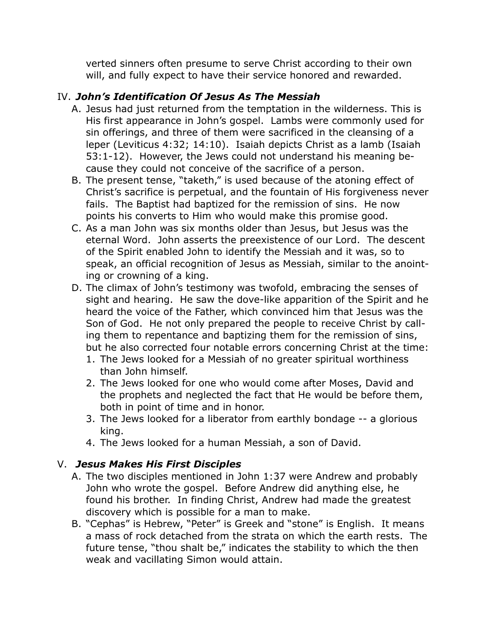verted sinners often presume to serve Christ according to their own will, and fully expect to have their service honored and rewarded.

## IV. *John's Identification Of Jesus As The Messiah*

- A. Jesus had just returned from the temptation in the wilderness. This is His first appearance in John's gospel. Lambs were commonly used for sin offerings, and three of them were sacrificed in the cleansing of a leper (Leviticus 4:32; 14:10). Isaiah depicts Christ as a lamb (Isaiah 53:1-12). However, the Jews could not understand his meaning because they could not conceive of the sacrifice of a person.
- B. The present tense, "taketh," is used because of the atoning effect of Christ's sacrifice is perpetual, and the fountain of His forgiveness never fails. The Baptist had baptized for the remission of sins. He now points his converts to Him who would make this promise good.
- C. As a man John was six months older than Jesus, but Jesus was the eternal Word. John asserts the preexistence of our Lord. The descent of the Spirit enabled John to identify the Messiah and it was, so to speak, an official recognition of Jesus as Messiah, similar to the anointing or crowning of a king.
- D. The climax of John's testimony was twofold, embracing the senses of sight and hearing. He saw the dove-like apparition of the Spirit and he heard the voice of the Father, which convinced him that Jesus was the Son of God. He not only prepared the people to receive Christ by calling them to repentance and baptizing them for the remission of sins, but he also corrected four notable errors concerning Christ at the time:
	- 1. The Jews looked for a Messiah of no greater spiritual worthiness than John himself.
	- 2. The Jews looked for one who would come after Moses, David and the prophets and neglected the fact that He would be before them, both in point of time and in honor.
	- 3. The Jews looked for a liberator from earthly bondage -- a glorious king.
	- 4. The Jews looked for a human Messiah, a son of David.

#### V. *Jesus Makes His First Disciples*

- A. The two disciples mentioned in John 1:37 were Andrew and probably John who wrote the gospel. Before Andrew did anything else, he found his brother. In finding Christ, Andrew had made the greatest discovery which is possible for a man to make.
- B. "Cephas" is Hebrew, "Peter" is Greek and "stone" is English. It means a mass of rock detached from the strata on which the earth rests. The future tense, "thou shalt be," indicates the stability to which the then weak and vacillating Simon would attain.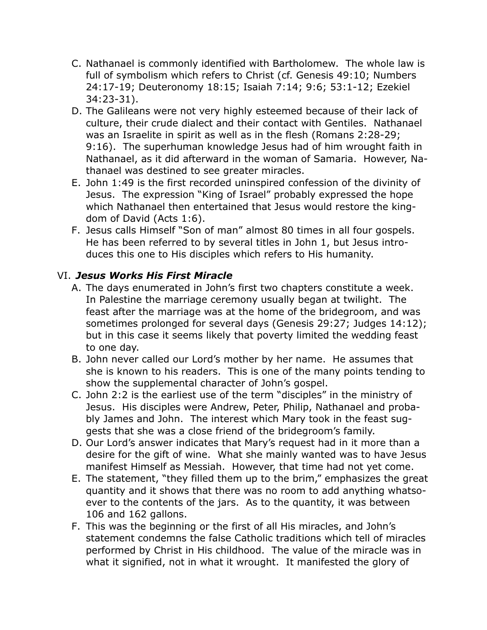- C. Nathanael is commonly identified with Bartholomew. The whole law is full of symbolism which refers to Christ (cf. Genesis 49:10; Numbers 24:17-19; Deuteronomy 18:15; Isaiah 7:14; 9:6; 53:1-12; Ezekiel 34:23-31).
- D. The Galileans were not very highly esteemed because of their lack of culture, their crude dialect and their contact with Gentiles. Nathanael was an Israelite in spirit as well as in the flesh (Romans 2:28-29; 9:16). The superhuman knowledge Jesus had of him wrought faith in Nathanael, as it did afterward in the woman of Samaria. However, Nathanael was destined to see greater miracles.
- E. John 1:49 is the first recorded uninspired confession of the divinity of Jesus. The expression "King of Israel" probably expressed the hope which Nathanael then entertained that Jesus would restore the kingdom of David (Acts 1:6).
- F. Jesus calls Himself "Son of man" almost 80 times in all four gospels. He has been referred to by several titles in John 1, but Jesus introduces this one to His disciples which refers to His humanity.

## VI. *Jesus Works His First Miracle*

- A. The days enumerated in John's first two chapters constitute a week. In Palestine the marriage ceremony usually began at twilight. The feast after the marriage was at the home of the bridegroom, and was sometimes prolonged for several days (Genesis 29:27; Judges 14:12); but in this case it seems likely that poverty limited the wedding feast to one day.
- B. John never called our Lord's mother by her name. He assumes that she is known to his readers. This is one of the many points tending to show the supplemental character of John's gospel.
- C. John 2:2 is the earliest use of the term "disciples" in the ministry of Jesus. His disciples were Andrew, Peter, Philip, Nathanael and probably James and John. The interest which Mary took in the feast suggests that she was a close friend of the bridegroom's family.
- D. Our Lord's answer indicates that Mary's request had in it more than a desire for the gift of wine. What she mainly wanted was to have Jesus manifest Himself as Messiah. However, that time had not yet come.
- E. The statement, "they filled them up to the brim," emphasizes the great quantity and it shows that there was no room to add anything whatsoever to the contents of the jars. As to the quantity, it was between 106 and 162 gallons.
- F. This was the beginning or the first of all His miracles, and John's statement condemns the false Catholic traditions which tell of miracles performed by Christ in His childhood. The value of the miracle was in what it signified, not in what it wrought. It manifested the glory of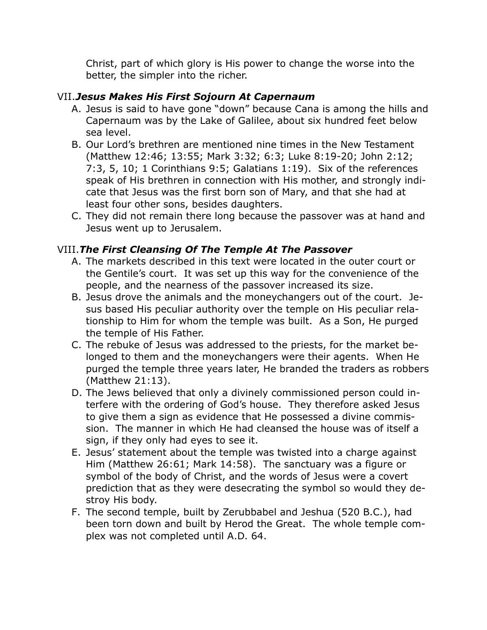Christ, part of which glory is His power to change the worse into the better, the simpler into the richer.

## VII.*Jesus Makes His First Sojourn At Capernaum*

- A. Jesus is said to have gone "down" because Cana is among the hills and Capernaum was by the Lake of Galilee, about six hundred feet below sea level.
- B. Our Lord's brethren are mentioned nine times in the New Testament (Matthew 12:46; 13:55; Mark 3:32; 6:3; Luke 8:19-20; John 2:12; 7:3, 5, 10; 1 Corinthians 9:5; Galatians 1:19). Six of the references speak of His brethren in connection with His mother, and strongly indicate that Jesus was the first born son of Mary, and that she had at least four other sons, besides daughters.
- C. They did not remain there long because the passover was at hand and Jesus went up to Jerusalem.

## VIII.*The First Cleansing Of The Temple At The Passover*

- A. The markets described in this text were located in the outer court or the Gentile's court. It was set up this way for the convenience of the people, and the nearness of the passover increased its size.
- B. Jesus drove the animals and the moneychangers out of the court. Jesus based His peculiar authority over the temple on His peculiar relationship to Him for whom the temple was built. As a Son, He purged the temple of His Father.
- C. The rebuke of Jesus was addressed to the priests, for the market belonged to them and the moneychangers were their agents. When He purged the temple three years later, He branded the traders as robbers (Matthew 21:13).
- D. The Jews believed that only a divinely commissioned person could interfere with the ordering of God's house. They therefore asked Jesus to give them a sign as evidence that He possessed a divine commission. The manner in which He had cleansed the house was of itself a sign, if they only had eyes to see it.
- E. Jesus' statement about the temple was twisted into a charge against Him (Matthew 26:61; Mark 14:58). The sanctuary was a figure or symbol of the body of Christ, and the words of Jesus were a covert prediction that as they were desecrating the symbol so would they destroy His body.
- F. The second temple, built by Zerubbabel and Jeshua (520 B.C.), had been torn down and built by Herod the Great. The whole temple complex was not completed until A.D. 64.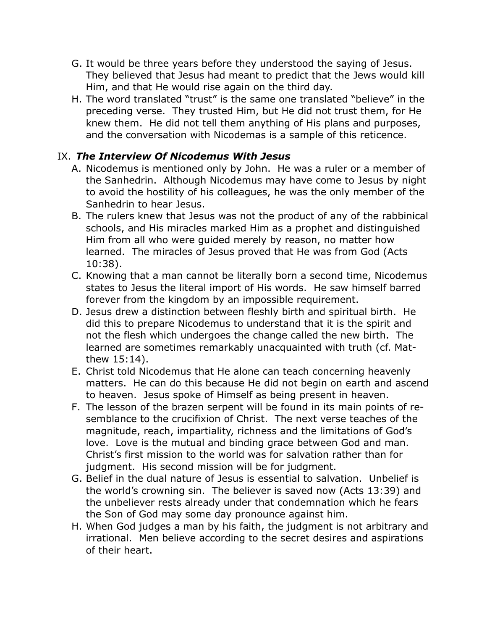- G. It would be three years before they understood the saying of Jesus. They believed that Jesus had meant to predict that the Jews would kill Him, and that He would rise again on the third day.
- H. The word translated "trust" is the same one translated "believe" in the preceding verse. They trusted Him, but He did not trust them, for He knew them. He did not tell them anything of His plans and purposes, and the conversation with Nicodemas is a sample of this reticence.

## IX. *The Interview Of Nicodemus With Jesus*

- A. Nicodemus is mentioned only by John. He was a ruler or a member of the Sanhedrin. Although Nicodemus may have come to Jesus by night to avoid the hostility of his colleagues, he was the only member of the Sanhedrin to hear Jesus.
- B. The rulers knew that Jesus was not the product of any of the rabbinical schools, and His miracles marked Him as a prophet and distinguished Him from all who were guided merely by reason, no matter how learned. The miracles of Jesus proved that He was from God (Acts 10:38).
- C. Knowing that a man cannot be literally born a second time, Nicodemus states to Jesus the literal import of His words. He saw himself barred forever from the kingdom by an impossible requirement.
- D. Jesus drew a distinction between fleshly birth and spiritual birth. He did this to prepare Nicodemus to understand that it is the spirit and not the flesh which undergoes the change called the new birth. The learned are sometimes remarkably unacquainted with truth (cf. Matthew 15:14).
- E. Christ told Nicodemus that He alone can teach concerning heavenly matters. He can do this because He did not begin on earth and ascend to heaven. Jesus spoke of Himself as being present in heaven.
- F. The lesson of the brazen serpent will be found in its main points of resemblance to the crucifixion of Christ. The next verse teaches of the magnitude, reach, impartiality, richness and the limitations of God's love. Love is the mutual and binding grace between God and man. Christ's first mission to the world was for salvation rather than for judgment. His second mission will be for judgment.
- G. Belief in the dual nature of Jesus is essential to salvation. Unbelief is the world's crowning sin. The believer is saved now (Acts 13:39) and the unbeliever rests already under that condemnation which he fears the Son of God may some day pronounce against him.
- H. When God judges a man by his faith, the judgment is not arbitrary and irrational. Men believe according to the secret desires and aspirations of their heart.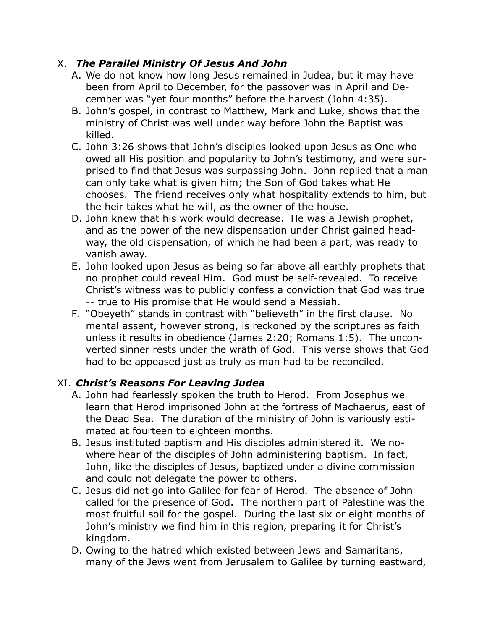## X. *The Parallel Ministry Of Jesus And John*

- A. We do not know how long Jesus remained in Judea, but it may have been from April to December, for the passover was in April and December was "yet four months" before the harvest (John 4:35).
- B. John's gospel, in contrast to Matthew, Mark and Luke, shows that the ministry of Christ was well under way before John the Baptist was killed.
- C. John 3:26 shows that John's disciples looked upon Jesus as One who owed all His position and popularity to John's testimony, and were surprised to find that Jesus was surpassing John. John replied that a man can only take what is given him; the Son of God takes what He chooses. The friend receives only what hospitality extends to him, but the heir takes what he will, as the owner of the house.
- D. John knew that his work would decrease. He was a Jewish prophet, and as the power of the new dispensation under Christ gained headway, the old dispensation, of which he had been a part, was ready to vanish away.
- E. John looked upon Jesus as being so far above all earthly prophets that no prophet could reveal Him. God must be self-revealed. To receive Christ's witness was to publicly confess a conviction that God was true -- true to His promise that He would send a Messiah.
- F. "Obeyeth" stands in contrast with "believeth" in the first clause. No mental assent, however strong, is reckoned by the scriptures as faith unless it results in obedience (James 2:20; Romans 1:5). The unconverted sinner rests under the wrath of God. This verse shows that God had to be appeased just as truly as man had to be reconciled.

## XI. *Christ's Reasons For Leaving Judea*

- A. John had fearlessly spoken the truth to Herod. From Josephus we learn that Herod imprisoned John at the fortress of Machaerus, east of the Dead Sea. The duration of the ministry of John is variously estimated at fourteen to eighteen months.
- B. Jesus instituted baptism and His disciples administered it. We nowhere hear of the disciples of John administering baptism. In fact, John, like the disciples of Jesus, baptized under a divine commission and could not delegate the power to others.
- C. Jesus did not go into Galilee for fear of Herod. The absence of John called for the presence of God. The northern part of Palestine was the most fruitful soil for the gospel. During the last six or eight months of John's ministry we find him in this region, preparing it for Christ's kingdom.
- D. Owing to the hatred which existed between Jews and Samaritans, many of the Jews went from Jerusalem to Galilee by turning eastward,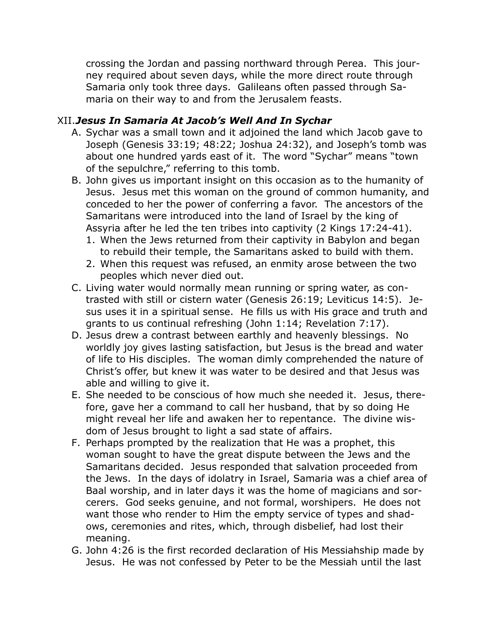crossing the Jordan and passing northward through Perea. This journey required about seven days, while the more direct route through Samaria only took three days. Galileans often passed through Samaria on their way to and from the Jerusalem feasts.

#### XII.*Jesus In Samaria At Jacob's Well And In Sychar*

- A. Sychar was a small town and it adjoined the land which Jacob gave to Joseph (Genesis 33:19; 48:22; Joshua 24:32), and Joseph's tomb was about one hundred yards east of it. The word "Sychar" means "town of the sepulchre," referring to this tomb.
- B. John gives us important insight on this occasion as to the humanity of Jesus. Jesus met this woman on the ground of common humanity, and conceded to her the power of conferring a favor. The ancestors of the Samaritans were introduced into the land of Israel by the king of Assyria after he led the ten tribes into captivity (2 Kings 17:24-41).
	- 1. When the Jews returned from their captivity in Babylon and began to rebuild their temple, the Samaritans asked to build with them.
	- 2. When this request was refused, an enmity arose between the two peoples which never died out.
- C. Living water would normally mean running or spring water, as contrasted with still or cistern water (Genesis 26:19; Leviticus 14:5). Jesus uses it in a spiritual sense. He fills us with His grace and truth and grants to us continual refreshing (John 1:14; Revelation 7:17).
- D. Jesus drew a contrast between earthly and heavenly blessings. No worldly joy gives lasting satisfaction, but Jesus is the bread and water of life to His disciples. The woman dimly comprehended the nature of Christ's offer, but knew it was water to be desired and that Jesus was able and willing to give it.
- E. She needed to be conscious of how much she needed it. Jesus, therefore, gave her a command to call her husband, that by so doing He might reveal her life and awaken her to repentance. The divine wisdom of Jesus brought to light a sad state of affairs.
- F. Perhaps prompted by the realization that He was a prophet, this woman sought to have the great dispute between the Jews and the Samaritans decided. Jesus responded that salvation proceeded from the Jews. In the days of idolatry in Israel, Samaria was a chief area of Baal worship, and in later days it was the home of magicians and sorcerers. God seeks genuine, and not formal, worshipers. He does not want those who render to Him the empty service of types and shadows, ceremonies and rites, which, through disbelief, had lost their meaning.
- G. John 4:26 is the first recorded declaration of His Messiahship made by Jesus. He was not confessed by Peter to be the Messiah until the last